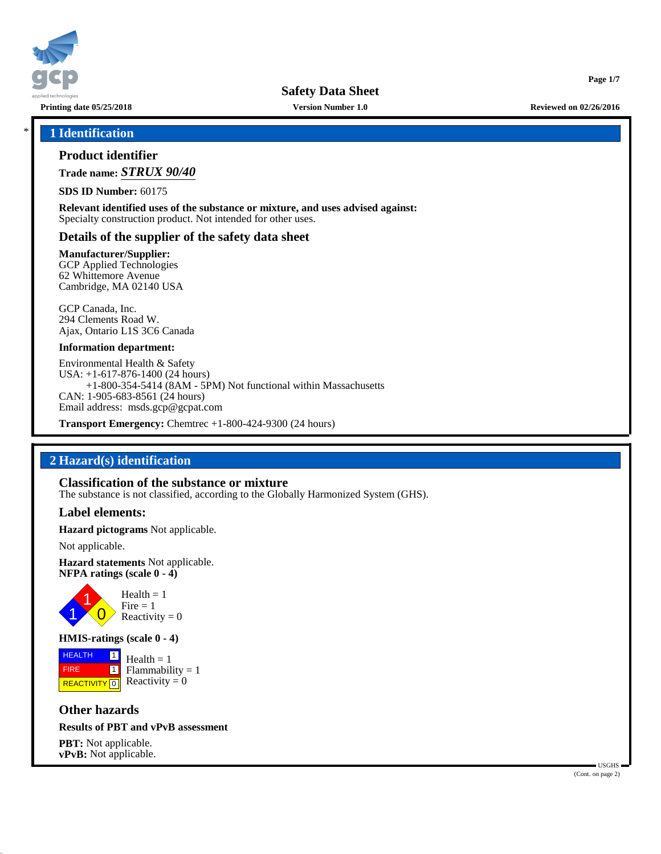

**Safety Data Sheet**

**Printing date 05/25/2018 Version Number 1.0 Reviewed on 02/26/2016**

**Page 1/7**

#### \* **1 Identification**

#### **Product identifier**

**Trade name:** *STRUX 90/40*

**SDS ID Number:** 60175

**Relevant identified uses of the substance or mixture, and uses advised against:** Specialty construction product. Not intended for other uses.

#### **Details of the supplier of the safety data sheet**

**Manufacturer/Supplier:**

GCP Applied Technologies 62 Whittemore Avenue Cambridge, MA 02140 USA

GCP Canada, Inc. 294 Clements Road W. Ajax, Ontario L1S 3C6 Canada

#### **Information department:**

Environmental Health & Safety USA: +1-617-876-1400 (24 hours) +1-800-354-5414 (8AM - 5PM) Not functional within Massachusetts CAN: 1-905-683-8561 (24 hours) Email address: msds.gcp@gcpat.com

**Transport Emergency:** Chemtrec +1-800-424-9300 (24 hours)

## **2 Hazard(s) identification**

#### **Classification of the substance or mixture**

The substance is not classified, according to the Globally Harmonized System (GHS).

#### **Label elements:**

**Hazard pictograms** Not applicable.

Not applicable.

**Hazard statements** Not applicable. **NFPA ratings (scale 0 - 4)**



#### **HMIS-ratings (scale 0 - 4)**

**HEALTH**  FIRE **REACTIVITY** 0 |1|  $\boxed{1}$  $Health = 1$  $Flammability = 1$ Reactivity  $= 0$ 

**Other hazards**

#### **Results of PBT and vPvB assessment**

**PBT:** Not applicable. **vPvB:** Not applicable.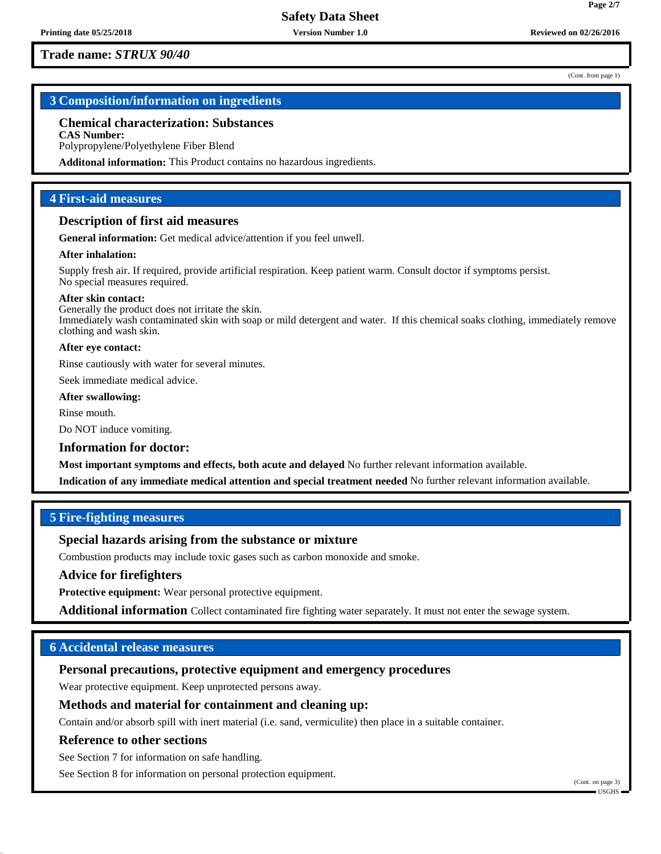(Cont. from page 1)

**Page 2/7**

# **3 Composition/information on ingredients**

# **Chemical characterization: Substances**

**CAS Number:** Polypropylene/Polyethylene Fiber Blend

**Additonal information:** This Product contains no hazardous ingredients.

## **4 First-aid measures**

#### **Description of first aid measures**

**General information:** Get medical advice/attention if you feel unwell.

#### **After inhalation:**

Supply fresh air. If required, provide artificial respiration. Keep patient warm. Consult doctor if symptoms persist. No special measures required.

#### **After skin contact:**

Generally the product does not irritate the skin. Immediately wash contaminated skin with soap or mild detergent and water. If this chemical soaks clothing, immediately remove clothing and wash skin.

#### **After eye contact:**

Rinse cautiously with water for several minutes.

Seek immediate medical advice.

# **After swallowing:**

Rinse mouth.

Do NOT induce vomiting.

#### **Information for doctor:**

**Most important symptoms and effects, both acute and delayed** No further relevant information available.

**Indication of any immediate medical attention and special treatment needed** No further relevant information available.

## **5 Fire-fighting measures**

## **Special hazards arising from the substance or mixture**

Combustion products may include toxic gases such as carbon monoxide and smoke.

#### **Advice for firefighters**

**Protective equipment:** Wear personal protective equipment.

**Additional information** Collect contaminated fire fighting water separately. It must not enter the sewage system.

## **6 Accidental release measures**

# **Personal precautions, protective equipment and emergency procedures**

Wear protective equipment. Keep unprotected persons away.

## **Methods and material for containment and cleaning up:**

Contain and/or absorb spill with inert material (i.e. sand, vermiculite) then place in a suitable container.

#### **Reference to other sections**

See Section 7 for information on safe handling.

See Section 8 for information on personal protection equipment.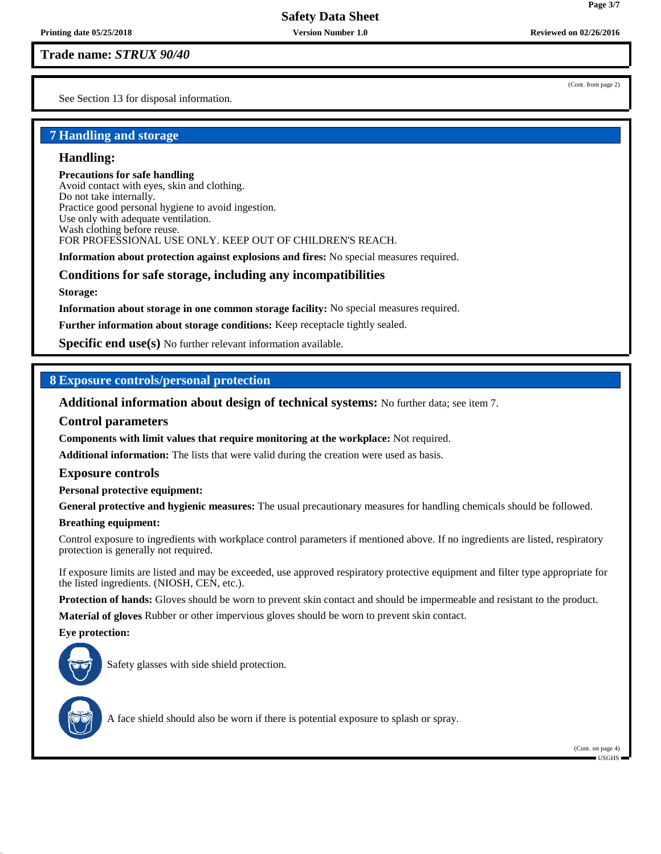See Section 13 for disposal information.

# **7 Handling and storage**

# **Handling:**

#### **Precautions for safe handling**

Avoid contact with eyes, skin and clothing. Do not take internally. Practice good personal hygiene to avoid ingestion. Use only with adequate ventilation. Wash clothing before reuse. FOR PROFESSIONAL USE ONLY. KEEP OUT OF CHILDREN'S REACH.

**Information about protection against explosions and fires:** No special measures required.

# **Conditions for safe storage, including any incompatibilities**

**Storage:**

**Information about storage in one common storage facility:** No special measures required.

**Further information about storage conditions:** Keep receptacle tightly sealed.

**Specific end use(s)** No further relevant information available.

# **8 Exposure controls/personal protection**

**Additional information about design of technical systems:** No further data; see item 7.

## **Control parameters**

**Components with limit values that require monitoring at the workplace:** Not required.

**Additional information:** The lists that were valid during the creation were used as basis.

## **Exposure controls**

**Personal protective equipment:**

**General protective and hygienic measures:** The usual precautionary measures for handling chemicals should be followed.

## **Breathing equipment:**

Control exposure to ingredients with workplace control parameters if mentioned above. If no ingredients are listed, respiratory protection is generally not required.

If exposure limits are listed and may be exceeded, use approved respiratory protective equipment and filter type appropriate for the listed ingredients. (NIOSH, CEN, etc.).

**Protection of hands:** Gloves should be worn to prevent skin contact and should be impermeable and resistant to the product.

**Material of gloves** Rubber or other impervious gloves should be worn to prevent skin contact.

#### **Eye protection:**



Safety glasses with side shield protection.



A face shield should also be worn if there is potential exposure to splash or spray.

(Cont. from page 2)

**Page 3/7**

(Cont. on page 4) USGHS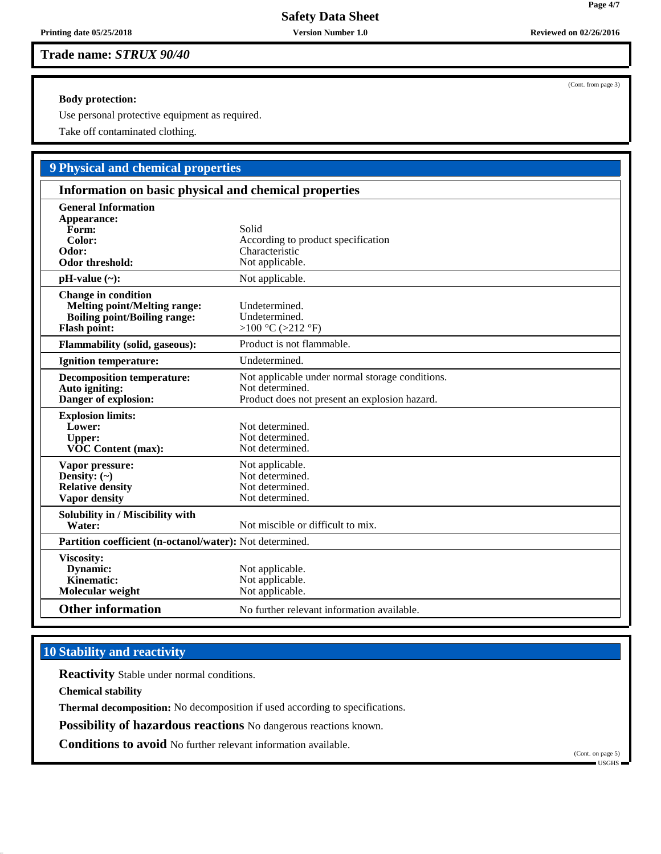#### **Body protection:**

Use personal protective equipment as required.

Take off contaminated clothing.

# **9 Physical and chemical properties**

| Information on basic physical and chemical properties                                                                    |                                                                                                                     |  |
|--------------------------------------------------------------------------------------------------------------------------|---------------------------------------------------------------------------------------------------------------------|--|
| <b>General Information</b><br>Appearance:<br>Form:<br>Color:<br>Odor:<br><b>Odor threshold:</b>                          | Solid<br>According to product specification<br>Characteristic<br>Not applicable.                                    |  |
| $pH-value (\sim):$                                                                                                       | Not applicable.                                                                                                     |  |
| <b>Change in condition</b><br><b>Melting point/Melting range:</b><br>Boiling point/Boiling range:<br><b>Flash point:</b> | Undetermined.<br>Undetermined.<br>>100 °C (>212 °F)                                                                 |  |
| <b>Flammability (solid, gaseous):</b>                                                                                    | Product is not flammable.                                                                                           |  |
| <b>Ignition temperature:</b>                                                                                             | Undetermined.                                                                                                       |  |
| <b>Decomposition temperature:</b><br>Auto igniting:<br>Danger of explosion:                                              | Not applicable under normal storage conditions.<br>Not determined.<br>Product does not present an explosion hazard. |  |
| <b>Explosion limits:</b><br>Lower:<br><b>Upper:</b><br><b>VOC Content (max):</b>                                         | Not determined.<br>Not determined.<br>Not determined.                                                               |  |
| Vapor pressure:<br>Density: $(\sim)$<br><b>Relative density</b><br>Vapor density                                         | Not applicable.<br>Not determined.<br>Not determined.<br>Not determined.                                            |  |
| Solubility in / Miscibility with<br>Water:                                                                               | Not miscible or difficult to mix.                                                                                   |  |
| Partition coefficient (n-octanol/water): Not determined.                                                                 |                                                                                                                     |  |
| Viscosity:<br>Dynamic:<br><b>Kinematic:</b><br>Molecular weight                                                          | Not applicable.<br>Not applicable.<br>Not applicable.                                                               |  |
| <b>Other information</b>                                                                                                 | No further relevant information available.                                                                          |  |

# **10 Stability and reactivity**

**Reactivity** Stable under normal conditions.

**Chemical stability**

**Thermal decomposition:** No decomposition if used according to specifications.

**Possibility of hazardous reactions** No dangerous reactions known.

**Conditions to avoid** No further relevant information available.

(Cont. from page 3)

**Page 4/7**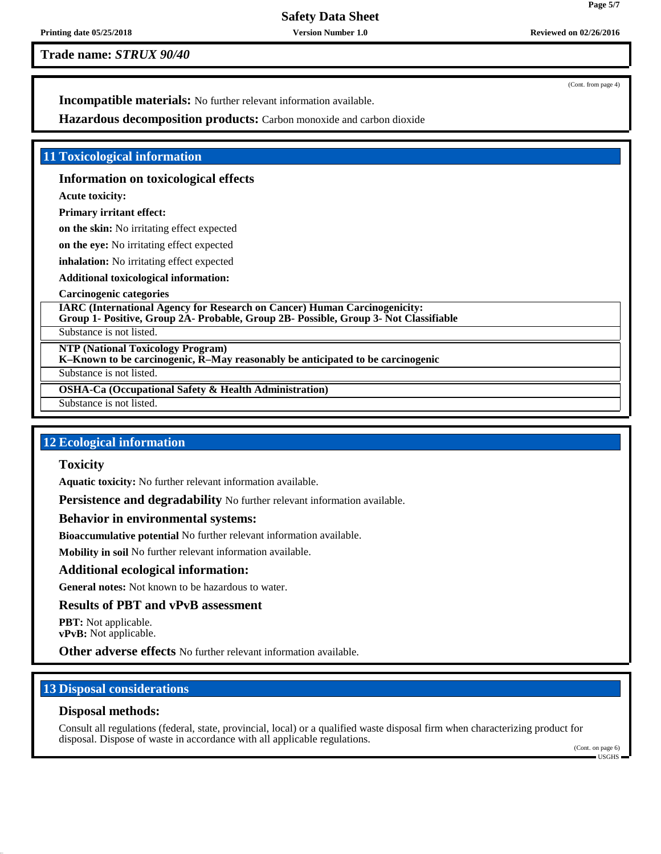**Safety Data Sheet**

**Printing date 05/25/2018 Version Number 1.0 Reviewed on 02/26/2016**

**Trade name:** *STRUX 90/40*

(Cont. from page 4)

**Incompatible materials:** No further relevant information available.

**Hazardous decomposition products:** Carbon monoxide and carbon dioxide

# **11 Toxicological information**

# **Information on toxicological effects**

**Acute toxicity:**

# **Primary irritant effect:**

**on the skin:** No irritating effect expected

**on the eye:** No irritating effect expected

**inhalation:** No irritating effect expected

**Additional toxicological information:**

## **Carcinogenic categories**

**IARC (International Agency for Research on Cancer) Human Carcinogenicity: Group 1- Positive, Group 2A- Probable, Group 2B- Possible, Group 3- Not Classifiable**

Substance is not listed.

**NTP (National Toxicology Program)**

**K–Known to be carcinogenic, R–May reasonably be anticipated to be carcinogenic**

Substance is not listed.

**OSHA-Ca (Occupational Safety & Health Administration)**

Substance is not listed.

# **12 Ecological information**

# **Toxicity**

**Aquatic toxicity:** No further relevant information available.

**Persistence and degradability** No further relevant information available.

# **Behavior in environmental systems:**

**Bioaccumulative potential** No further relevant information available.

**Mobility in soil** No further relevant information available.

# **Additional ecological information:**

**General notes:** Not known to be hazardous to water.

## **Results of PBT and vPvB assessment**

**PBT:** Not applicable. **vPvB:** Not applicable.

**Other adverse effects** No further relevant information available.

# **13 Disposal considerations**

# **Disposal methods:**

Consult all regulations (federal, state, provincial, local) or a qualified waste disposal firm when characterizing product for disposal. Dispose of waste in accordance with all applicable regulations.

(Cont. on page 6) USGHS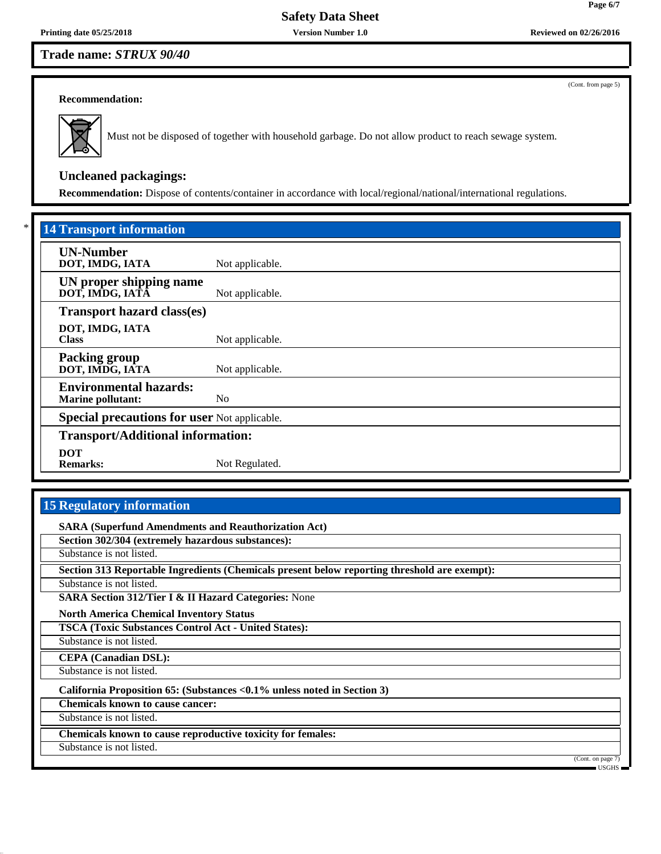(Cont. from page 5)

#### **Recommendation:**



Must not be disposed of together with household garbage. Do not allow product to reach sewage system.

# **Uncleaned packagings:**

**Recommendation:** Dispose of contents/container in accordance with local/regional/national/international regulations.

| <b>14 Transport information</b>                     |                 |  |
|-----------------------------------------------------|-----------------|--|
| <b>UN-Number</b><br>DOT, IMDG, IATA                 | Not applicable. |  |
| UN proper shipping name<br>DOT, IMDG, IATA          | Not applicable. |  |
| <b>Transport hazard class(es)</b>                   |                 |  |
| DOT, IMDG, IATA<br><b>Class</b>                     | Not applicable. |  |
| <b>Packing group</b><br>DOT, IMDG, IATA             | Not applicable. |  |
| <b>Environmental hazards:</b><br>Marine pollutant:  | N <sub>o</sub>  |  |
| <b>Special precautions for user Not applicable.</b> |                 |  |
| <b>Transport/Additional information:</b>            |                 |  |
| <b>DOT</b><br><b>Remarks:</b>                       | Not Regulated.  |  |

# **15 Regulatory information**

**SARA (Superfund Amendments and Reauthorization Act) Section 302/304 (extremely hazardous substances):** Substance is not listed. **Section 313 Reportable Ingredients (Chemicals present below reporting threshold are exempt):** Substance is not listed. **SARA Section 312/Tier I & II Hazard Categories:** None **North America Chemical Inventory Status TSCA (Toxic Substances Control Act - United States):** Substance is not listed. **CEPA (Canadian DSL):** Substance is not listed. **California Proposition 65: (Substances <0.1% unless noted in Section 3) Chemicals known to cause cancer:** Substance is not listed. **Chemicals known to cause reproductive toxicity for females:** Substance is not listed. (Cont. on page USGHS